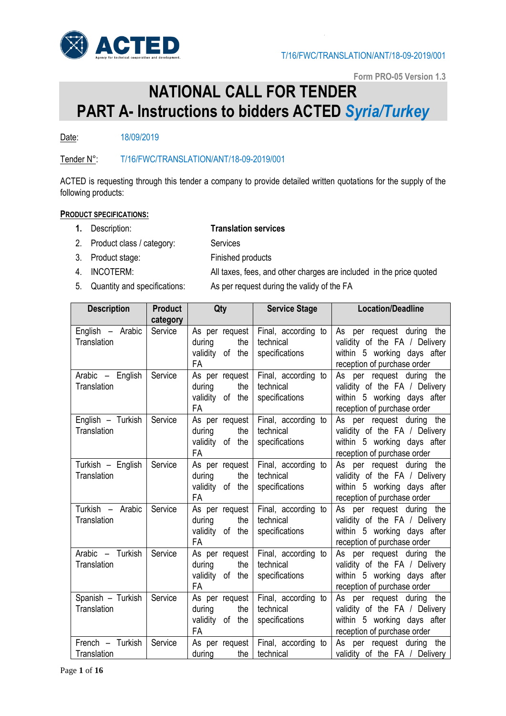

**Form PRO-05 Version 1.3**

# **NATIONAL CALL FOR TENDER PART A- Instructions to bidders ACTED** *Syria/Turkey*

Date: 18/09/2019

### Tender N°: T/16/FWC/TRANSLATION/ANT/18-09-2019/001

ACTED is requesting through this tender a company to provide detailed written quotations for the supply of the following products:

#### **PRODUCT SPECIFICATIONS:**

#### **1.** Description: **Translation services**

- 2. Product class / category: Services
- 3. Product stage: Finished products
- 
- 

4. INCOTERM: All taxes, fees, and other charges are included in the price quoted 5. Quantity and specifications: As per request during the validy of the FA

| <b>Description</b>               | <b>Product</b>      | Qty                                                             | <b>Service Stage</b>                               | <b>Location/Deadline</b>                                                                                                 |
|----------------------------------|---------------------|-----------------------------------------------------------------|----------------------------------------------------|--------------------------------------------------------------------------------------------------------------------------|
| English - Arabic<br>Translation  | category<br>Service | As per request<br>the<br>during<br>validity of the<br><b>FA</b> | Final, according to<br>technical<br>specifications | As per request during the<br>validity of the FA / Delivery<br>within 5 working days after<br>reception of purchase order |
| Arabic - English<br>Translation  | Service             | As per request<br>the<br>during<br>validity of the<br><b>FA</b> | Final, according to<br>technical<br>specifications | As per request during the<br>validity of the FA / Delivery<br>within 5 working days after<br>reception of purchase order |
| English - Turkish<br>Translation | Service             | As per request<br>the<br>during<br>validity of the<br>FA        | Final, according to<br>technical<br>specifications | As per request during the<br>validity of the FA / Delivery<br>within 5 working days after<br>reception of purchase order |
| Turkish - English<br>Translation | Service             | As per request<br>during<br>the<br>validity of the<br><b>FA</b> | Final, according to<br>technical<br>specifications | As per request during the<br>validity of the FA / Delivery<br>within 5 working days after<br>reception of purchase order |
| Turkish - Arabic<br>Translation  | Service             | As per request<br>during<br>the<br>validity of the<br><b>FA</b> | Final, according to<br>technical<br>specifications | As per request during the<br>validity of the FA / Delivery<br>within 5 working days after<br>reception of purchase order |
| Arabic - Turkish<br>Translation  | Service             | As per request<br>the<br>during<br>validity of the<br>FA        | Final, according to<br>technical<br>specifications | As per request during the<br>validity of the FA / Delivery<br>within 5 working days after<br>reception of purchase order |
| Spanish - Turkish<br>Translation | Service             | As per request<br>the<br>during<br>validity of the<br><b>FA</b> | Final, according to<br>technical<br>specifications | As per request during the<br>validity of the FA / Delivery<br>within 5 working days after<br>reception of purchase order |
| French - Turkish<br>Translation  | Service             | As per request<br>during<br>the                                 | Final, according to<br>technical                   | As per request during the<br>validity of the FA / Delivery                                                               |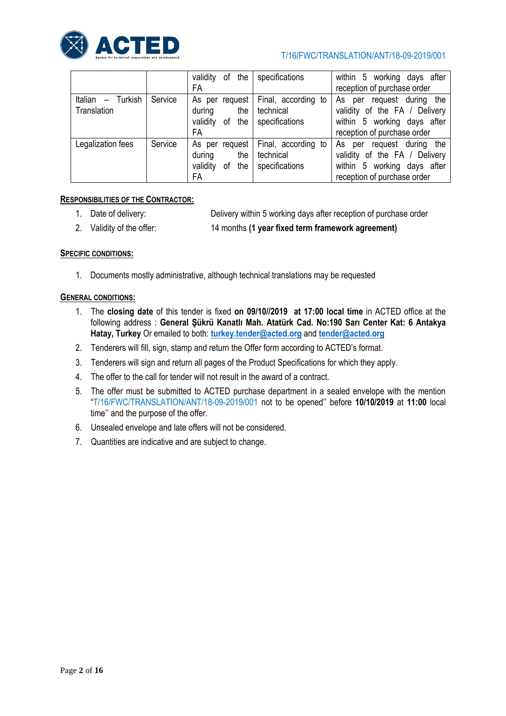

#### T/16/FWC/TRANSLATION/ANT/18-09-2019/001

|                                               |         | the<br>validity<br>οf<br>FA                                    | specifications                                     | within 5 working days after<br>reception of purchase order                                                                  |
|-----------------------------------------------|---------|----------------------------------------------------------------|----------------------------------------------------|-----------------------------------------------------------------------------------------------------------------------------|
| Italian<br>Turkish<br>$\equiv$<br>Translation | Service | As per request<br>during<br>the<br>validity<br>of the<br>FA    | Final, according to<br>technical<br>specifications | request during the<br>As per<br>validity of the FA / Delivery<br>within 5 working days after<br>reception of purchase order |
| Legalization fees                             | Service | As per request<br>during<br>the<br>validity<br>the<br>οf<br>FA | Final, according to<br>technical<br>specifications | request during the<br>As per<br>validity of the FA / Delivery<br>within 5 working days after<br>reception of purchase order |

#### **RESPONSIBILITIES OF THE CONTRACTOR:**

1. Date of delivery: Delivery within 5 working days after reception of purchase order

2. Validity of the offer: 14 months **(1 year fixed term framework agreement)**

#### **SPECIFIC CONDITIONS:**

1. Documents mostly administrative, although technical translations may be requested

#### **GENERAL CONDITIONS:**

- 1. The **closing date** of this tender is fixed **on 09/10//2019 at 17:00 local time** in ACTED office at the following address : **General Şükrü Kanatlı Mah. Atatürk Cad. No:190 Sarı Center Kat: 6 Antakya Hatay, Turkey** Or emailed to both: **[turkey.tender@acted.org](mailto:turkey.tender@acted.org)** and **[tender@acted.org](mailto:tender@acted.org)**
- 2. Tenderers will fill, sign, stamp and return the Offer form according to ACTED's format.
- 3. Tenderers will sign and return all pages of the Product Specifications for which they apply.
- 4. The offer to the call for tender will not result in the award of a contract.
- 5. The offer must be submitted to ACTED purchase department in a sealed envelope with the mention "T/16/FWC/TRANSLATION/ANT/18-09-2019/001 not to be opened'' before **10/10/2019** at **11:00** local time'' and the purpose of the offer.
- 6. Unsealed envelope and late offers will not be considered.
- 7. Quantities are indicative and are subject to change.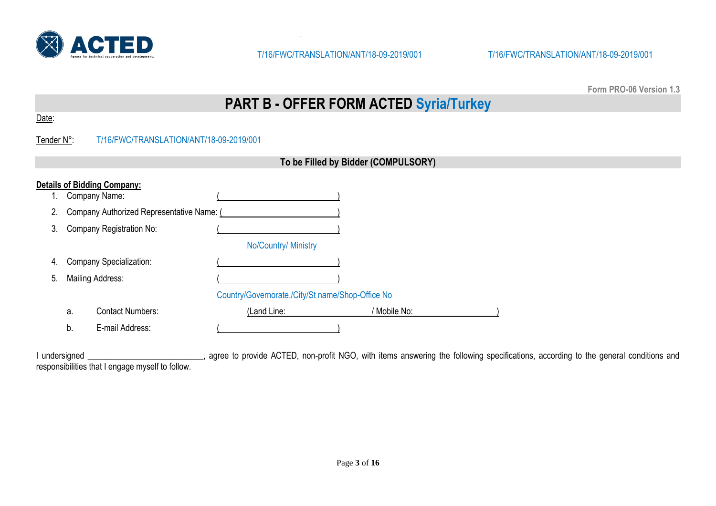

**Form PRO-06 Version 1.3**

# **PART B - OFFER FORM ACTED Syria/Turkey**

## Tender N°: T/16/FWC/TRANSLATION/ANT/18-09-2019/001

|    | To be Filled by Bidder (COMPULSORY) |                                           |                                                  |              |  |  |
|----|-------------------------------------|-------------------------------------------|--------------------------------------------------|--------------|--|--|
|    |                                     | <b>Details of Bidding Company:</b>        |                                                  |              |  |  |
|    |                                     | Company Name:                             |                                                  |              |  |  |
| 2. |                                     | Company Authorized Representative Name: ( |                                                  |              |  |  |
| 3. |                                     | <b>Company Registration No:</b>           |                                                  |              |  |  |
|    |                                     |                                           | No/Country/ Ministry                             |              |  |  |
| 4. |                                     | Company Specialization:                   |                                                  |              |  |  |
| 5. |                                     | <b>Mailing Address:</b>                   |                                                  |              |  |  |
|    |                                     |                                           | Country/Governorate./City/St name/Shop-Office No |              |  |  |
|    | a.                                  | <b>Contact Numbers:</b>                   | (Land Line:                                      | / Mobile No: |  |  |
|    | b.                                  | E-mail Address:                           |                                                  |              |  |  |

I undersigned \_\_\_\_\_\_\_\_\_\_\_\_\_\_\_\_\_\_\_\_\_\_\_\_, agree to provide ACTED, non-profit NGO, with items answering the following specifications, according to the general conditions and responsibilities that I engage myself to follow.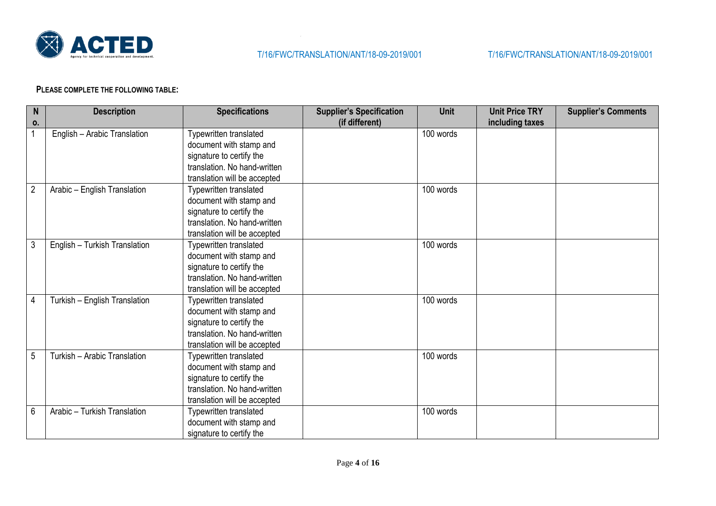

#### **PLEASE COMPLETE THE FOLLOWING TABLE:**

| $\mathsf{N}$   | <b>Description</b>            | <b>Specifications</b>         | <b>Supplier's Specification</b> | <b>Unit</b> | <b>Unit Price TRY</b> | <b>Supplier's Comments</b> |
|----------------|-------------------------------|-------------------------------|---------------------------------|-------------|-----------------------|----------------------------|
| 0.             |                               |                               | (if different)                  |             | including taxes       |                            |
| $\mathbf{1}$   | English - Arabic Translation  | Typewritten translated        |                                 | 100 words   |                       |                            |
|                |                               | document with stamp and       |                                 |             |                       |                            |
|                |                               | signature to certify the      |                                 |             |                       |                            |
|                |                               | translation. No hand-written  |                                 |             |                       |                            |
|                |                               | translation will be accepted  |                                 |             |                       |                            |
| $\overline{2}$ | Arabic - English Translation  | <b>Typewritten translated</b> |                                 | 100 words   |                       |                            |
|                |                               | document with stamp and       |                                 |             |                       |                            |
|                |                               | signature to certify the      |                                 |             |                       |                            |
|                |                               | translation. No hand-written  |                                 |             |                       |                            |
|                |                               | translation will be accepted  |                                 |             |                       |                            |
| $\mathbf{3}$   | English - Turkish Translation | Typewritten translated        |                                 | 100 words   |                       |                            |
|                |                               | document with stamp and       |                                 |             |                       |                            |
|                |                               | signature to certify the      |                                 |             |                       |                            |
|                |                               | translation. No hand-written  |                                 |             |                       |                            |
|                |                               | translation will be accepted  |                                 |             |                       |                            |
| $\overline{4}$ | Turkish - English Translation | Typewritten translated        |                                 | 100 words   |                       |                            |
|                |                               | document with stamp and       |                                 |             |                       |                            |
|                |                               | signature to certify the      |                                 |             |                       |                            |
|                |                               | translation. No hand-written  |                                 |             |                       |                            |
|                |                               | translation will be accepted  |                                 |             |                       |                            |
| 5              | Turkish - Arabic Translation  | Typewritten translated        |                                 | 100 words   |                       |                            |
|                |                               | document with stamp and       |                                 |             |                       |                            |
|                |                               | signature to certify the      |                                 |             |                       |                            |
|                |                               | translation. No hand-written  |                                 |             |                       |                            |
|                |                               | translation will be accepted  |                                 |             |                       |                            |
| $6\phantom{1}$ | Arabic - Turkish Translation  | Typewritten translated        |                                 | 100 words   |                       |                            |
|                |                               | document with stamp and       |                                 |             |                       |                            |
|                |                               | signature to certify the      |                                 |             |                       |                            |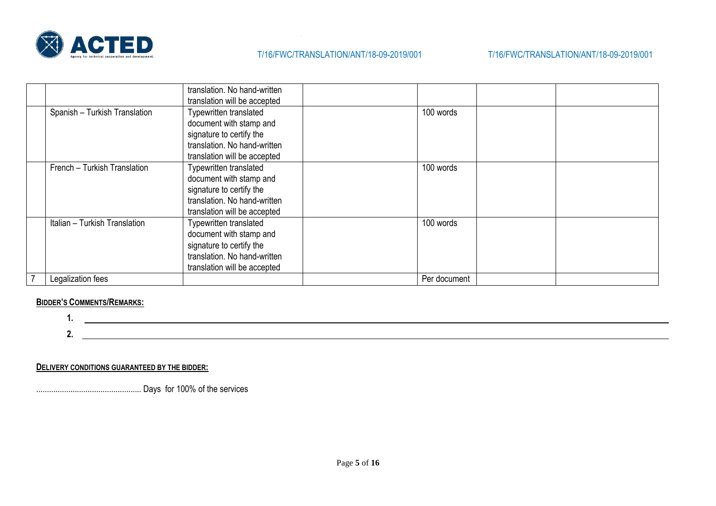

|                               | translation. No hand-written<br>translation will be accepted                                                                                  |              |  |
|-------------------------------|-----------------------------------------------------------------------------------------------------------------------------------------------|--------------|--|
| Spanish - Turkish Translation | Typewritten translated<br>document with stamp and<br>signature to certify the<br>translation. No hand-written<br>translation will be accepted | 100 words    |  |
| French - Turkish Translation  | Typewritten translated<br>document with stamp and<br>signature to certify the<br>translation. No hand-written<br>translation will be accepted | 100 words    |  |
| Italian - Turkish Translation | Typewritten translated<br>document with stamp and<br>signature to certify the<br>translation. No hand-written<br>translation will be accepted | 100 words    |  |
| Legalization fees             |                                                                                                                                               | Per document |  |

### **BIDDER'S COMMENTS/REMARKS:**

**1.**

**2.**

**DELIVERY CONDITIONS GUARANTEED BY THE BIDDER:**

................................................. Days for 100% of the services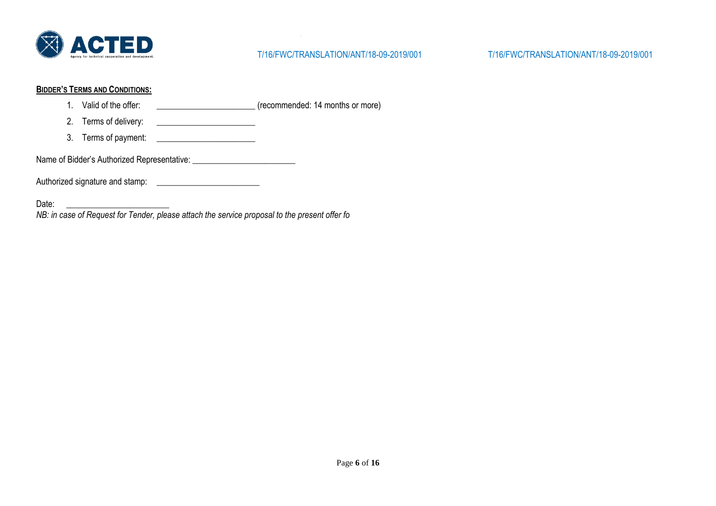

#### **BIDDER'S TERMS AND CONDITIONS:**

- 1. Valid of the offer:  $(reconnected: 14 months or more)$
- 2. Terms of delivery:
- 3. Terms of payment: \_\_\_\_\_\_\_\_\_\_\_\_\_\_\_\_\_\_\_\_\_\_\_

Name of Bidder's Authorized Representative: \_\_\_\_\_\_\_\_\_\_\_\_\_\_\_\_\_\_\_\_\_\_\_\_

Authorized signature and stamp: \_\_\_\_\_\_\_\_\_\_\_\_\_\_\_\_\_\_\_\_\_\_\_\_

Date: \_\_\_\_\_\_\_\_\_\_\_\_\_\_\_\_\_\_\_\_\_\_\_\_

*NB: in case of Request for Tender, please attach the service proposal to the present offer fo*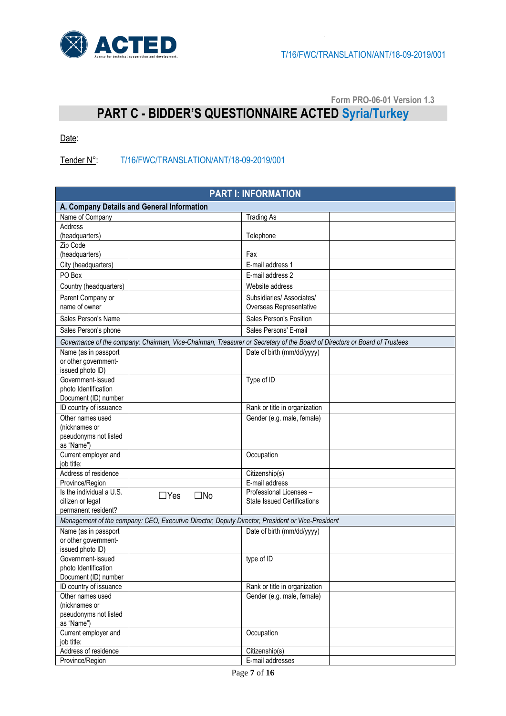

**Form PRO-06-01 Version 1.3**

# **PART C - BIDDER'S QUESTIONNAIRE ACTED Syria/Turkey**

Date:

Tender N°: T/16/FWC/TRANSLATION/ANT/18-09-2019/001

| <b>PART I: INFORMATION</b>                                                                                                |                            |                                    |  |  |  |
|---------------------------------------------------------------------------------------------------------------------------|----------------------------|------------------------------------|--|--|--|
| A. Company Details and General Information                                                                                |                            |                                    |  |  |  |
| Name of Company                                                                                                           |                            | <b>Trading As</b>                  |  |  |  |
| Address                                                                                                                   |                            |                                    |  |  |  |
| (headquarters)                                                                                                            |                            | Telephone                          |  |  |  |
| Zip Code                                                                                                                  |                            |                                    |  |  |  |
| (headquarters)                                                                                                            |                            | Fax                                |  |  |  |
| City (headquarters)                                                                                                       |                            | E-mail address 1                   |  |  |  |
| PO Box                                                                                                                    |                            | E-mail address 2                   |  |  |  |
| Country (headquarters)                                                                                                    |                            | Website address                    |  |  |  |
| Parent Company or                                                                                                         |                            | Subsidiaries/Associates/           |  |  |  |
| name of owner                                                                                                             |                            | Overseas Representative            |  |  |  |
| Sales Person's Name                                                                                                       |                            | Sales Person's Position            |  |  |  |
| Sales Person's phone                                                                                                      |                            | Sales Persons' E-mail              |  |  |  |
| Governance of the company: Chairman, Vice-Chairman, Treasurer or Secretary of the Board of Directors or Board of Trustees |                            |                                    |  |  |  |
| Name (as in passport                                                                                                      |                            | Date of birth (mm/dd/yyyy)         |  |  |  |
| or other government-                                                                                                      |                            |                                    |  |  |  |
| issued photo ID)                                                                                                          |                            |                                    |  |  |  |
| Government-issued                                                                                                         |                            | Type of ID                         |  |  |  |
| photo Identification                                                                                                      |                            |                                    |  |  |  |
| Document (ID) number                                                                                                      |                            |                                    |  |  |  |
| ID country of issuance                                                                                                    |                            | Rank or title in organization      |  |  |  |
| Other names used                                                                                                          |                            | Gender (e.g. male, female)         |  |  |  |
| (nicknames or                                                                                                             |                            |                                    |  |  |  |
| pseudonyms not listed                                                                                                     |                            |                                    |  |  |  |
| as "Name")                                                                                                                |                            |                                    |  |  |  |
| Current employer and<br>job title:                                                                                        |                            | Occupation                         |  |  |  |
| Address of residence                                                                                                      |                            | Citizenship(s)                     |  |  |  |
| Province/Region                                                                                                           |                            | E-mail address                     |  |  |  |
| Is the individual a U.S.                                                                                                  |                            | Professional Licenses -            |  |  |  |
| citizen or legal                                                                                                          | $\Box$ Yes<br>$\square$ No | <b>State Issued Certifications</b> |  |  |  |
| permanent resident?                                                                                                       |                            |                                    |  |  |  |
| Management of the company: CEO, Executive Director, Deputy Director, President or Vice-President                          |                            |                                    |  |  |  |
| Name (as in passport                                                                                                      |                            | Date of birth (mm/dd/yyyy)         |  |  |  |
| or other government-                                                                                                      |                            |                                    |  |  |  |
| issued photo ID)                                                                                                          |                            |                                    |  |  |  |
| Government-issued                                                                                                         |                            | type of ID                         |  |  |  |
| photo Identification                                                                                                      |                            |                                    |  |  |  |
| Document (ID) number                                                                                                      |                            |                                    |  |  |  |
| ID country of issuance                                                                                                    |                            | Rank or title in organization      |  |  |  |
| Other names used                                                                                                          |                            | Gender (e.g. male, female)         |  |  |  |
| (nicknames or                                                                                                             |                            |                                    |  |  |  |
| pseudonyms not listed<br>as "Name")                                                                                       |                            |                                    |  |  |  |
| Current employer and                                                                                                      |                            | Occupation                         |  |  |  |
| job title:                                                                                                                |                            |                                    |  |  |  |
| Address of residence                                                                                                      |                            | Citizenship(s)                     |  |  |  |
| Province/Region                                                                                                           |                            | E-mail addresses                   |  |  |  |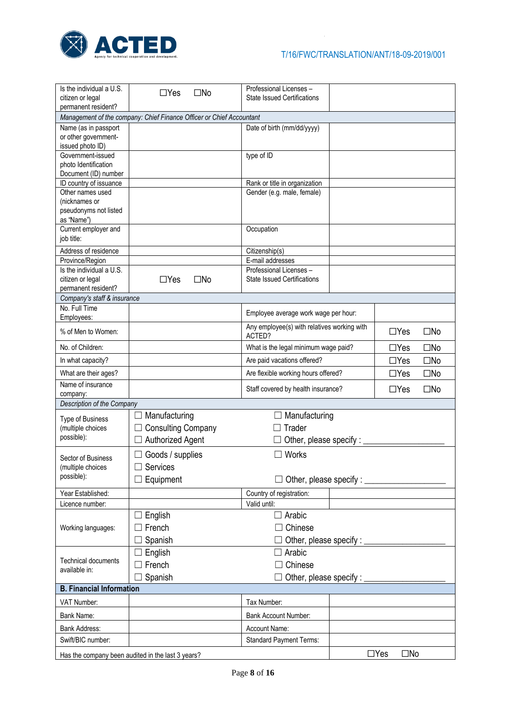

| Is the individual a U.S.<br>citizen or legal | $\Box$ Yes<br>$\square$ No                                           | Professional Licenses -<br><b>State Issued Certifications</b> |                              |                            |              |
|----------------------------------------------|----------------------------------------------------------------------|---------------------------------------------------------------|------------------------------|----------------------------|--------------|
| permanent resident?                          |                                                                      |                                                               |                              |                            |              |
| Name (as in passport                         | Management of the company: Chief Finance Officer or Chief Accountant | Date of birth (mm/dd/yyyy)                                    |                              |                            |              |
| or other government-                         |                                                                      |                                                               |                              |                            |              |
| issued photo ID)                             |                                                                      |                                                               |                              |                            |              |
| Government-issued                            |                                                                      | type of ID                                                    |                              |                            |              |
| photo Identification<br>Document (ID) number |                                                                      |                                                               |                              |                            |              |
| ID country of issuance                       |                                                                      | Rank or title in organization                                 |                              |                            |              |
| Other names used                             |                                                                      | Gender (e.g. male, female)                                    |                              |                            |              |
| (nicknames or                                |                                                                      |                                                               |                              |                            |              |
| pseudonyms not listed<br>as "Name")          |                                                                      |                                                               |                              |                            |              |
| Current employer and                         |                                                                      | Occupation                                                    |                              |                            |              |
| job title:                                   |                                                                      |                                                               |                              |                            |              |
| Address of residence                         |                                                                      | Citizenship(s)                                                |                              |                            |              |
| Province/Region                              |                                                                      | E-mail addresses                                              |                              |                            |              |
| Is the individual a U.S.                     |                                                                      | Professional Licenses -                                       |                              |                            |              |
| citizen or legal<br>permanent resident?      | $\Box$ Yes<br>$\square$ No                                           | <b>State Issued Certifications</b>                            |                              |                            |              |
| Company's staff & insurance                  |                                                                      |                                                               |                              |                            |              |
| No. Full Time                                |                                                                      | Employee average work wage per hour:                          |                              |                            |              |
| Employees:                                   |                                                                      |                                                               |                              |                            |              |
| % of Men to Women:                           |                                                                      | Any employee(s) with relatives working with<br>ACTED?         |                              |                            | $\square$ No |
| No. of Children:                             | What is the legal minimum wage paid?                                 |                                                               |                              | $\Box$ Yes                 | $\square$ No |
| In what capacity?                            | Are paid vacations offered?                                          |                                                               |                              | $\Box$ Yes                 | $\square$ No |
| What are their ages?                         | Are flexible working hours offered?                                  |                                                               |                              | $\Box$ Yes                 | $\square$ No |
| Name of insurance<br>company:                |                                                                      | Staff covered by health insurance?                            |                              | $\Box$ Yes                 | $\square$ No |
| Description of the Company                   |                                                                      |                                                               |                              |                            |              |
| Type of Business                             | Manufacturing                                                        | Manufacturing                                                 |                              |                            |              |
| (multiple choices                            | <b>Consulting Company</b>                                            | Trader                                                        |                              |                            |              |
| possible):                                   | <b>Authorized Agent</b>                                              | Other, please specify : $\overline{\phantom{a}}$              |                              |                            |              |
| Sector of Business                           | $\Box$ Goods / supplies                                              | Works                                                         |                              |                            |              |
| (multiple choices                            | Services                                                             |                                                               |                              |                            |              |
| possible):                                   | Equipment                                                            | Other, please specify : _                                     |                              |                            |              |
| Year Established:                            |                                                                      | Country of registration:                                      |                              |                            |              |
| Licence number:                              |                                                                      | Valid until:                                                  |                              |                            |              |
|                                              | $\Box$ English                                                       | $\Box$ Arabic                                                 |                              |                            |              |
| Working languages:                           | French                                                               | Chinese                                                       |                              |                            |              |
|                                              | Spanish                                                              |                                                               | Other, please specify : ____ |                            |              |
|                                              | English                                                              | Arabic                                                        |                              |                            |              |
| <b>Technical documents</b>                   | French                                                               | Chinese                                                       |                              |                            |              |
| available in:                                |                                                                      |                                                               |                              |                            |              |
| <b>B. Financial Information</b>              | Spanish                                                              | Other, please specify : __                                    |                              |                            |              |
|                                              |                                                                      |                                                               |                              |                            |              |
| VAT Number:                                  |                                                                      | Tax Number:                                                   |                              |                            |              |
| Bank Name:                                   |                                                                      | <b>Bank Account Number:</b>                                   |                              |                            |              |
| <b>Bank Address:</b>                         |                                                                      | Account Name:                                                 |                              |                            |              |
| Swift/BIC number:                            |                                                                      | <b>Standard Payment Terms:</b>                                |                              |                            |              |
|                                              | Has the company been audited in the last 3 years?                    |                                                               |                              | $\Box$ Yes<br>$\square$ No |              |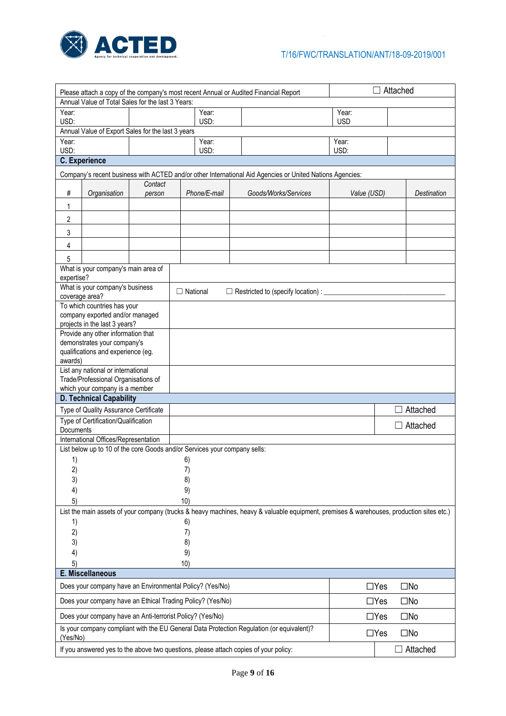

| Annual Value of Total Sales for the last 3 Years:<br>Year:<br>Year:<br>Year:<br>USD:<br>USD:<br><b>USD</b><br>Annual Value of Export Sales for the last 3 years<br>Year:<br>Year:<br>Year:<br>USD:<br>USD:<br>USD:<br><b>C.</b> Experience<br>Company's recent business with ACTED and/or other International Aid Agencies or United Nations Agencies:<br>Contact |  |  |  |  |  |
|-------------------------------------------------------------------------------------------------------------------------------------------------------------------------------------------------------------------------------------------------------------------------------------------------------------------------------------------------------------------|--|--|--|--|--|
|                                                                                                                                                                                                                                                                                                                                                                   |  |  |  |  |  |
|                                                                                                                                                                                                                                                                                                                                                                   |  |  |  |  |  |
|                                                                                                                                                                                                                                                                                                                                                                   |  |  |  |  |  |
|                                                                                                                                                                                                                                                                                                                                                                   |  |  |  |  |  |
|                                                                                                                                                                                                                                                                                                                                                                   |  |  |  |  |  |
|                                                                                                                                                                                                                                                                                                                                                                   |  |  |  |  |  |
|                                                                                                                                                                                                                                                                                                                                                                   |  |  |  |  |  |
|                                                                                                                                                                                                                                                                                                                                                                   |  |  |  |  |  |
| #<br>Organisation<br>Phone/E-mail<br>Goods/Works/Services<br>Value (USD)<br>Destination<br>person                                                                                                                                                                                                                                                                 |  |  |  |  |  |
| 1                                                                                                                                                                                                                                                                                                                                                                 |  |  |  |  |  |
| 2                                                                                                                                                                                                                                                                                                                                                                 |  |  |  |  |  |
| 3                                                                                                                                                                                                                                                                                                                                                                 |  |  |  |  |  |
| 4                                                                                                                                                                                                                                                                                                                                                                 |  |  |  |  |  |
| 5                                                                                                                                                                                                                                                                                                                                                                 |  |  |  |  |  |
| What is your company's main area of                                                                                                                                                                                                                                                                                                                               |  |  |  |  |  |
| expertise?                                                                                                                                                                                                                                                                                                                                                        |  |  |  |  |  |
| What is your company's business<br>$\Box$ National<br>$\Box$ Restricted to (specify location) : $\Box$                                                                                                                                                                                                                                                            |  |  |  |  |  |
| coverage area?                                                                                                                                                                                                                                                                                                                                                    |  |  |  |  |  |
| To which countries has your<br>company exported and/or managed                                                                                                                                                                                                                                                                                                    |  |  |  |  |  |
| projects in the last 3 years?                                                                                                                                                                                                                                                                                                                                     |  |  |  |  |  |
| Provide any other information that                                                                                                                                                                                                                                                                                                                                |  |  |  |  |  |
| demonstrates your company's                                                                                                                                                                                                                                                                                                                                       |  |  |  |  |  |
| qualifications and experience (eg.                                                                                                                                                                                                                                                                                                                                |  |  |  |  |  |
| awards)<br>List any national or international                                                                                                                                                                                                                                                                                                                     |  |  |  |  |  |
| Trade/Professional Organisations of                                                                                                                                                                                                                                                                                                                               |  |  |  |  |  |
| which your company is a member                                                                                                                                                                                                                                                                                                                                    |  |  |  |  |  |
| <b>D. Technical Capability</b>                                                                                                                                                                                                                                                                                                                                    |  |  |  |  |  |
| Attached<br>Type of Quality Assurance Certificate                                                                                                                                                                                                                                                                                                                 |  |  |  |  |  |
| Type of Certification/Qualification<br>$\Box$ Attached                                                                                                                                                                                                                                                                                                            |  |  |  |  |  |
| Documents                                                                                                                                                                                                                                                                                                                                                         |  |  |  |  |  |
| International Offices/Representation<br>List below up to 10 of the core Goods and/or Services your company sells:                                                                                                                                                                                                                                                 |  |  |  |  |  |
| 1)<br>6)                                                                                                                                                                                                                                                                                                                                                          |  |  |  |  |  |
| 2)<br>7)                                                                                                                                                                                                                                                                                                                                                          |  |  |  |  |  |
| 3)<br>8)                                                                                                                                                                                                                                                                                                                                                          |  |  |  |  |  |
| 4)<br>9)                                                                                                                                                                                                                                                                                                                                                          |  |  |  |  |  |
| 5)<br>10)                                                                                                                                                                                                                                                                                                                                                         |  |  |  |  |  |
| List the main assets of your company (trucks & heavy machines, heavy & valuable equipment, premises & warehouses, production sites etc.)                                                                                                                                                                                                                          |  |  |  |  |  |
| 1)<br>6)                                                                                                                                                                                                                                                                                                                                                          |  |  |  |  |  |
| 2)<br>7)                                                                                                                                                                                                                                                                                                                                                          |  |  |  |  |  |
| 3)<br>8)                                                                                                                                                                                                                                                                                                                                                          |  |  |  |  |  |
| 9)<br>4)                                                                                                                                                                                                                                                                                                                                                          |  |  |  |  |  |
| 5)<br>10)                                                                                                                                                                                                                                                                                                                                                         |  |  |  |  |  |
| E. Miscellaneous<br>Does your company have an Environmental Policy? (Yes/No)<br>$\square$ No<br>$\Box$ Yes                                                                                                                                                                                                                                                        |  |  |  |  |  |
| Does your company have an Ethical Trading Policy? (Yes/No)<br>$\Box$ Yes<br>$\square$ No                                                                                                                                                                                                                                                                          |  |  |  |  |  |
| Does your company have an Anti-terrorist Policy? (Yes/No)<br>$\Box$ Yes<br>$\square$ No                                                                                                                                                                                                                                                                           |  |  |  |  |  |
| Is your company compliant with the EU General Data Protection Regulation (or equivalent)?<br>$\Box$ Yes<br>$\square$ No<br>(Yes/No)                                                                                                                                                                                                                               |  |  |  |  |  |
| If you answered yes to the above two questions, please attach copies of your policy:<br>$\Box$ Attached                                                                                                                                                                                                                                                           |  |  |  |  |  |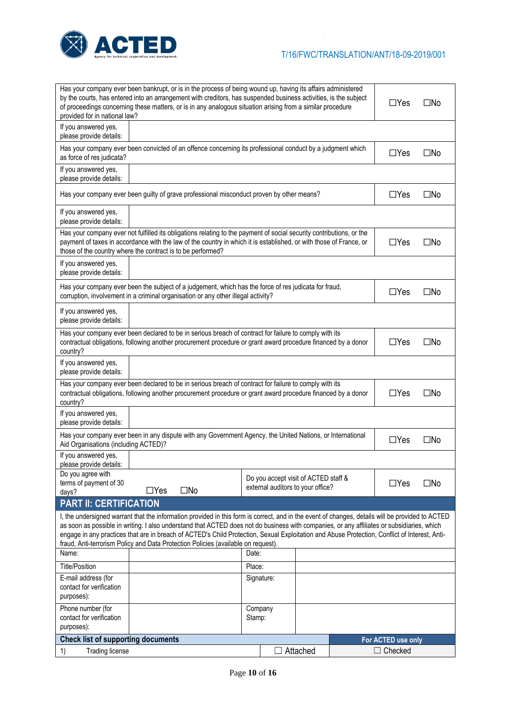

| Has your company ever been bankrupt, or is in the process of being wound up, having its affairs administered<br>by the courts, has entered into an arrangement with creditors, has suspended business activities, is the subject<br>$\Box$ Yes<br>$\square$ No<br>of proceedings concerning these matters, or is in any analogous situation arising from a similar procedure<br>provided for in national law?                                   |                   |                                                                           |          |  |                    |              |
|-------------------------------------------------------------------------------------------------------------------------------------------------------------------------------------------------------------------------------------------------------------------------------------------------------------------------------------------------------------------------------------------------------------------------------------------------|-------------------|---------------------------------------------------------------------------|----------|--|--------------------|--------------|
| If you answered yes,<br>please provide details:                                                                                                                                                                                                                                                                                                                                                                                                 |                   |                                                                           |          |  |                    |              |
| Has your company ever been convicted of an offence concerning its professional conduct by a judgment which<br>as force of res judicata?                                                                                                                                                                                                                                                                                                         |                   |                                                                           |          |  | $\Box$ Yes         | $\square$ No |
| If you answered yes,<br>please provide details:                                                                                                                                                                                                                                                                                                                                                                                                 |                   |                                                                           |          |  |                    |              |
| Has your company ever been guilty of grave professional misconduct proven by other means?                                                                                                                                                                                                                                                                                                                                                       |                   |                                                                           |          |  | $\Box$ Yes         | $\square$ No |
| If you answered yes,<br>please provide details:                                                                                                                                                                                                                                                                                                                                                                                                 |                   |                                                                           |          |  |                    |              |
| Has your company ever not fulfilled its obligations relating to the payment of social security contributions, or the<br>payment of taxes in accordance with the law of the country in which it is established, or with those of France, or<br>$\Box$ Yes<br>$\square$ No<br>those of the country where the contract is to be performed?                                                                                                         |                   |                                                                           |          |  |                    |              |
| If you answered yes,<br>please provide details:                                                                                                                                                                                                                                                                                                                                                                                                 |                   |                                                                           |          |  |                    |              |
| Has your company ever been the subject of a judgement, which has the force of res judicata for fraud,<br>corruption, involvement in a criminal organisation or any other illegal activity?                                                                                                                                                                                                                                                      |                   |                                                                           |          |  | $\Box$ Yes         | $\square$ No |
| If you answered yes,<br>please provide details:                                                                                                                                                                                                                                                                                                                                                                                                 |                   |                                                                           |          |  |                    |              |
| Has your company ever been declared to be in serious breach of contract for failure to comply with its<br>contractual obligations, following another procurement procedure or grant award procedure financed by a donor<br>$\Box$ Yes<br>$\square$ No<br>country?                                                                                                                                                                               |                   |                                                                           |          |  |                    |              |
| If you answered yes,<br>please provide details:                                                                                                                                                                                                                                                                                                                                                                                                 |                   |                                                                           |          |  |                    |              |
| Has your company ever been declared to be in serious breach of contract for failure to comply with its<br>contractual obligations, following another procurement procedure or grant award procedure financed by a donor<br>country?                                                                                                                                                                                                             |                   |                                                                           |          |  | $\Box$ Yes         | $\square$ No |
| If you answered yes,<br>please provide details:                                                                                                                                                                                                                                                                                                                                                                                                 |                   |                                                                           |          |  |                    |              |
| Has your company ever been in any dispute with any Government Agency, the United Nations, or International<br>Aid Organisations (including ACTED)?                                                                                                                                                                                                                                                                                              |                   |                                                                           |          |  | $\Box$ Yes         | $\square$ No |
| If you answered yes,<br>please provide details:                                                                                                                                                                                                                                                                                                                                                                                                 |                   |                                                                           |          |  |                    |              |
| Do you agree with<br>terms of payment of 30<br>$\Box$ Yes<br>days?                                                                                                                                                                                                                                                                                                                                                                              | $\square$ No      | Do you accept visit of ACTED staff &<br>external auditors to your office? |          |  | $\Box$ Yes         | $\square$ No |
| <b>PART II: CERTIFICATION</b>                                                                                                                                                                                                                                                                                                                                                                                                                   |                   |                                                                           |          |  |                    |              |
| I, the undersigned warrant that the information provided in this form is correct, and in the event of changes, details will be provided to ACTED<br>as soon as possible in writing. I also understand that ACTED does not do business with companies, or any affiliates or subsidiaries, which<br>engage in any practices that are in breach of ACTED's Child Protection, Sexual Exploitation and Abuse Protection, Conflict of Interest, Anti- |                   |                                                                           |          |  |                    |              |
| fraud, Anti-terrorism Policy and Data Protection Policies (available on request).<br>Name:                                                                                                                                                                                                                                                                                                                                                      | Date:             |                                                                           |          |  |                    |              |
| <b>Title/Position</b>                                                                                                                                                                                                                                                                                                                                                                                                                           | Place:            |                                                                           |          |  |                    |              |
| E-mail address (for                                                                                                                                                                                                                                                                                                                                                                                                                             |                   | Signature:                                                                |          |  |                    |              |
| contact for verification<br>purposes):                                                                                                                                                                                                                                                                                                                                                                                                          |                   |                                                                           |          |  |                    |              |
| Phone number (for<br>contact for verification<br>purposes):                                                                                                                                                                                                                                                                                                                                                                                     | Company<br>Stamp: |                                                                           |          |  |                    |              |
| <b>Check list of supporting documents</b>                                                                                                                                                                                                                                                                                                                                                                                                       |                   |                                                                           |          |  | For ACTED use only |              |
| <b>Trading license</b><br>1)                                                                                                                                                                                                                                                                                                                                                                                                                    |                   |                                                                           | Attached |  | $\Box$ Checked     |              |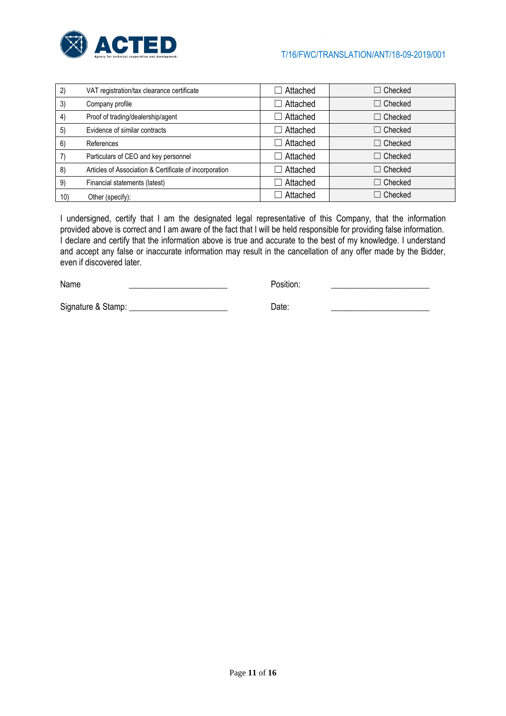

| 2)  | VAT registration/tax clearance certificate             | Attached | $\Box$ Checked |
|-----|--------------------------------------------------------|----------|----------------|
| 3)  | Company profile                                        | Attached | $\Box$ Checked |
| 4)  | Proof of trading/dealership/agent                      | Attached | $\Box$ Checked |
| 5)  | Evidence of similar contracts                          | Attached | $\Box$ Checked |
| 6)  | References                                             | Attached | $\Box$ Checked |
| 7)  | Particulars of CEO and key personnel                   | Attached | $\Box$ Checked |
| 8)  | Articles of Association & Certificate of incorporation | Attached | $\Box$ Checked |
| 9)  | Financial statements (latest)                          | Attached | $\Box$ Checked |
| 10) | Other (specify):                                       | Attached | $\Box$ Checked |

I undersigned, certify that I am the designated legal representative of this Company, that the information provided above is correct and I am aware of the fact that I will be held responsible for providing false information. I declare and certify that the information above is true and accurate to the best of my knowledge. I understand and accept any false or inaccurate information may result in the cancellation of any offer made by the Bidder, even if discovered later.

Name **Name Name Name Name Name Name Name** *Name Name Name Name Name Name Name Name Name Name Name Name NAME NAME NAME NAME NAME NAME NAME* 

Signature & Stamp: \_\_\_\_\_\_\_\_\_\_\_\_\_\_\_\_\_\_\_\_\_\_\_ Date: \_\_\_\_\_\_\_\_\_\_\_\_\_\_\_\_\_\_\_\_\_\_\_

Page **11** of **16**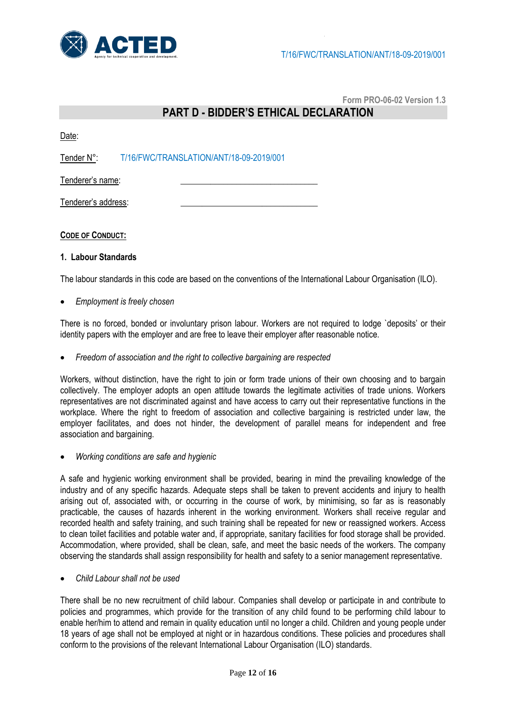

**Form PRO-06-02 Version 1.3**

## **PART D - BIDDER'S ETHICAL DECLARATION**

Date:

Tender N°: T/16/FWC/TRANSLATION/ANT/18-09-2019/001

Tenderer's name:

Tenderer's address:

#### **CODE OF CONDUCT:**

#### **1. Labour Standards**

The labour standards in this code are based on the conventions of the International Labour Organisation (ILO).

*Employment is freely chosen*

There is no forced, bonded or involuntary prison labour. Workers are not required to lodge `deposits' or their identity papers with the employer and are free to leave their employer after reasonable notice.

*Freedom of association and the right to collective bargaining are respected*

Workers, without distinction, have the right to join or form trade unions of their own choosing and to bargain collectively. The employer adopts an open attitude towards the legitimate activities of trade unions. Workers representatives are not discriminated against and have access to carry out their representative functions in the workplace. Where the right to freedom of association and collective bargaining is restricted under law, the employer facilitates, and does not hinder, the development of parallel means for independent and free association and bargaining.

*Working conditions are safe and hygienic*

A safe and hygienic working environment shall be provided, bearing in mind the prevailing knowledge of the industry and of any specific hazards. Adequate steps shall be taken to prevent accidents and injury to health arising out of, associated with, or occurring in the course of work, by minimising, so far as is reasonably practicable, the causes of hazards inherent in the working environment. Workers shall receive regular and recorded health and safety training, and such training shall be repeated for new or reassigned workers. Access to clean toilet facilities and potable water and, if appropriate, sanitary facilities for food storage shall be provided. Accommodation, where provided, shall be clean, safe, and meet the basic needs of the workers. The company observing the standards shall assign responsibility for health and safety to a senior management representative.

*Child Labour shall not be used*

There shall be no new recruitment of child labour. Companies shall develop or participate in and contribute to policies and programmes, which provide for the transition of any child found to be performing child labour to enable her/him to attend and remain in quality education until no longer a child. Children and young people under 18 years of age shall not be employed at night or in hazardous conditions. These policies and procedures shall conform to the provisions of the relevant International Labour Organisation (ILO) standards.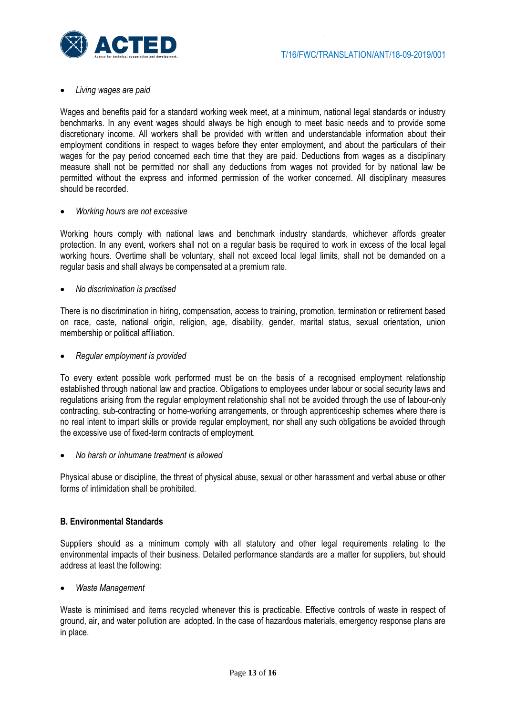#### *Living wages are paid*

Wages and benefits paid for a standard working week meet, at a minimum, national legal standards or industry benchmarks. In any event wages should always be high enough to meet basic needs and to provide some discretionary income. All workers shall be provided with written and understandable information about their employment conditions in respect to wages before they enter employment, and about the particulars of their wages for the pay period concerned each time that they are paid. Deductions from wages as a disciplinary measure shall not be permitted nor shall any deductions from wages not provided for by national law be permitted without the express and informed permission of the worker concerned. All disciplinary measures should be recorded.

#### *Working hours are not excessive*

Working hours comply with national laws and benchmark industry standards, whichever affords greater protection. In any event, workers shall not on a regular basis be required to work in excess of the local legal working hours. Overtime shall be voluntary, shall not exceed local legal limits, shall not be demanded on a regular basis and shall always be compensated at a premium rate.

*No discrimination is practised*

There is no discrimination in hiring, compensation, access to training, promotion, termination or retirement based on race, caste, national origin, religion, age, disability, gender, marital status, sexual orientation, union membership or political affiliation.

*Regular employment is provided*

To every extent possible work performed must be on the basis of a recognised employment relationship established through national law and practice. Obligations to employees under labour or social security laws and regulations arising from the regular employment relationship shall not be avoided through the use of labour-only contracting, sub-contracting or home-working arrangements, or through apprenticeship schemes where there is no real intent to impart skills or provide regular employment, nor shall any such obligations be avoided through the excessive use of fixed-term contracts of employment.

*No harsh or inhumane treatment is allowed*

Physical abuse or discipline, the threat of physical abuse, sexual or other harassment and verbal abuse or other forms of intimidation shall be prohibited.

#### **B. Environmental Standards**

Suppliers should as a minimum comply with all statutory and other legal requirements relating to the environmental impacts of their business. Detailed performance standards are a matter for suppliers, but should address at least the following:

*Waste Management*

Waste is minimised and items recycled whenever this is practicable. Effective controls of waste in respect of ground, air, and water pollution are adopted. In the case of hazardous materials, emergency response plans are in place.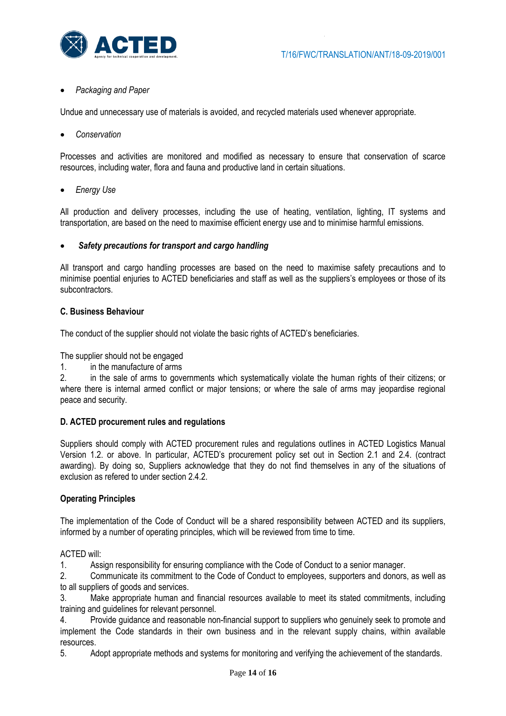

### *Packaging and Paper*

Undue and unnecessary use of materials is avoided, and recycled materials used whenever appropriate.

*Conservation*

Processes and activities are monitored and modified as necessary to ensure that conservation of scarce resources, including water, flora and fauna and productive land in certain situations.

*Energy Use* 

All production and delivery processes, including the use of heating, ventilation, lighting, IT systems and transportation, are based on the need to maximise efficient energy use and to minimise harmful emissions.

#### *Safety precautions for transport and cargo handling*

All transport and cargo handling processes are based on the need to maximise safety precautions and to minimise poential enjuries to ACTED beneficiaries and staff as well as the suppliers's employees or those of its subcontractors.

#### **C. Business Behaviour**

The conduct of the supplier should not violate the basic rights of ACTED's beneficiaries.

The supplier should not be engaged

1. in the manufacture of arms

2. in the sale of arms to governments which systematically violate the human rights of their citizens; or where there is internal armed conflict or major tensions; or where the sale of arms may jeopardise regional peace and security.

#### **D. ACTED procurement rules and regulations**

Suppliers should comply with ACTED procurement rules and regulations outlines in ACTED Logistics Manual Version 1.2. or above. In particular, ACTED's procurement policy set out in Section 2.1 and 2.4. (contract awarding). By doing so, Suppliers acknowledge that they do not find themselves in any of the situations of exclusion as refered to under section 2.4.2.

#### **Operating Principles**

The implementation of the Code of Conduct will be a shared responsibility between ACTED and its suppliers, informed by a number of operating principles, which will be reviewed from time to time.

#### ACTED will:

1. Assign responsibility for ensuring compliance with the Code of Conduct to a senior manager.

2. Communicate its commitment to the Code of Conduct to employees, supporters and donors, as well as to all suppliers of goods and services.

3. Make appropriate human and financial resources available to meet its stated commitments, including training and guidelines for relevant personnel.

4. Provide guidance and reasonable non-financial support to suppliers who genuinely seek to promote and implement the Code standards in their own business and in the relevant supply chains, within available resources.

5. Adopt appropriate methods and systems for monitoring and verifying the achievement of the standards.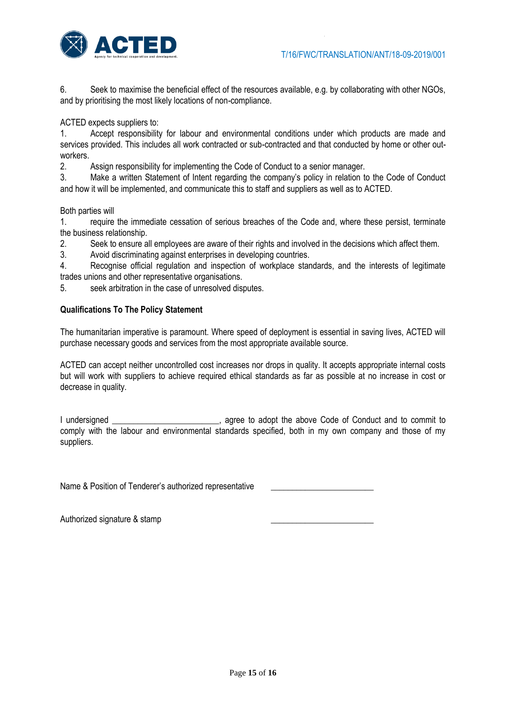

6. Seek to maximise the beneficial effect of the resources available, e.g. by collaborating with other NGOs, and by prioritising the most likely locations of non-compliance.

ACTED expects suppliers to:

1. Accept responsibility for labour and environmental conditions under which products are made and services provided. This includes all work contracted or sub-contracted and that conducted by home or other outworkers.<br>2.

2. Assign responsibility for implementing the Code of Conduct to a senior manager.

3. Make a written Statement of Intent regarding the company's policy in relation to the Code of Conduct and how it will be implemented, and communicate this to staff and suppliers as well as to ACTED.

Both parties will

1. require the immediate cessation of serious breaches of the Code and, where these persist, terminate the business relationship.

2. Seek to ensure all employees are aware of their rights and involved in the decisions which affect them.

3. Avoid discriminating against enterprises in developing countries.

4. Recognise official regulation and inspection of workplace standards, and the interests of legitimate trades unions and other representative organisations.

5. seek arbitration in the case of unresolved disputes.

#### **Qualifications To The Policy Statement**

The humanitarian imperative is paramount. Where speed of deployment is essential in saving lives, ACTED will purchase necessary goods and services from the most appropriate available source.

ACTED can accept neither uncontrolled cost increases nor drops in quality. It accepts appropriate internal costs but will work with suppliers to achieve required ethical standards as far as possible at no increase in cost or decrease in quality.

I undersigned \_\_\_\_\_\_\_\_\_\_\_\_\_\_\_\_\_\_\_\_\_\_\_\_\_, agree to adopt the above Code of Conduct and to commit to comply with the labour and environmental standards specified, both in my own company and those of my suppliers.

Name & Position of Tenderer's authorized representative

Authorized signature & stamp